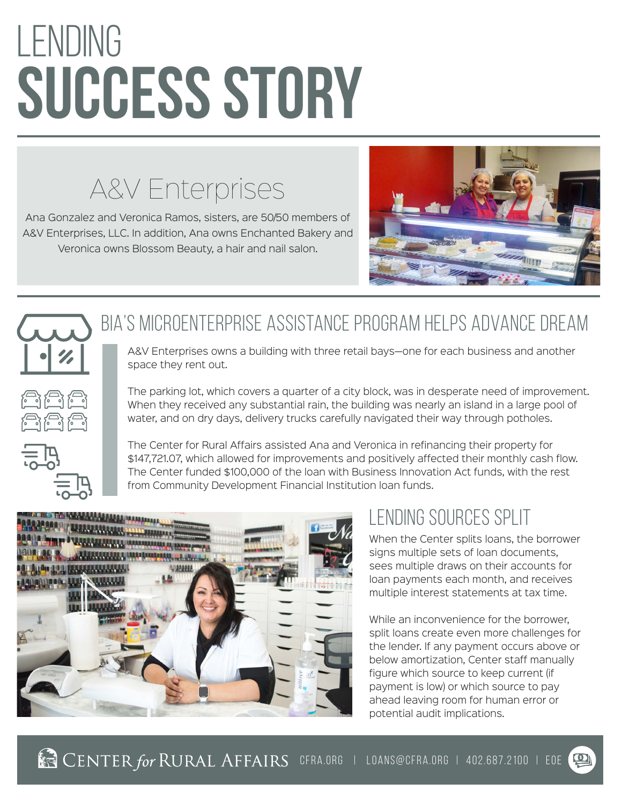# lending **SUCCESS STORY**

## A&V Enterprises

Ana Gonzalez and Veronica Ramos, sisters, are 50/50 members of A&V Enterprises, LLC. In addition, Ana owns Enchanted Bakery and Veronica owns Blossom Beauty, a hair and nail salon.



#### BIA's Microenterprise Assistance Program helps advance dream

A&V Enterprises owns a building with three retail bays—one for each business and another space they rent out.

The parking lot, which covers a quarter of a city block, was in desperate need of improvement. When they received any substantial rain, the building was nearly an island in a large pool of water, and on dry days, delivery trucks carefully navigated their way through potholes.



The Center for Rural Affairs assisted Ana and Veronica in refinancing their property for \$147,721.07, which allowed for improvements and positively affected their monthly cash flow. The Center funded \$100,000 of the loan with Business Innovation Act funds, with the rest from Community Development Financial Institution loan funds.



#### lending sources split

When the Center splits loans, the borrower signs multiple sets of loan documents, sees multiple draws on their accounts for loan payments each month, and receives multiple interest statements at tax time.

While an inconvenience for the borrower, split loans create even more challenges for the lender. If any payment occurs above or below amortization, Center staff manually figure which source to keep current (if payment is low) or which source to pay ahead leaving room for human error or potential audit implications.

**CENTER for RURAL AFFAIRS** CFRA.ORG | LOANS@CFRA.ORG | 402.687.2100 | EOE